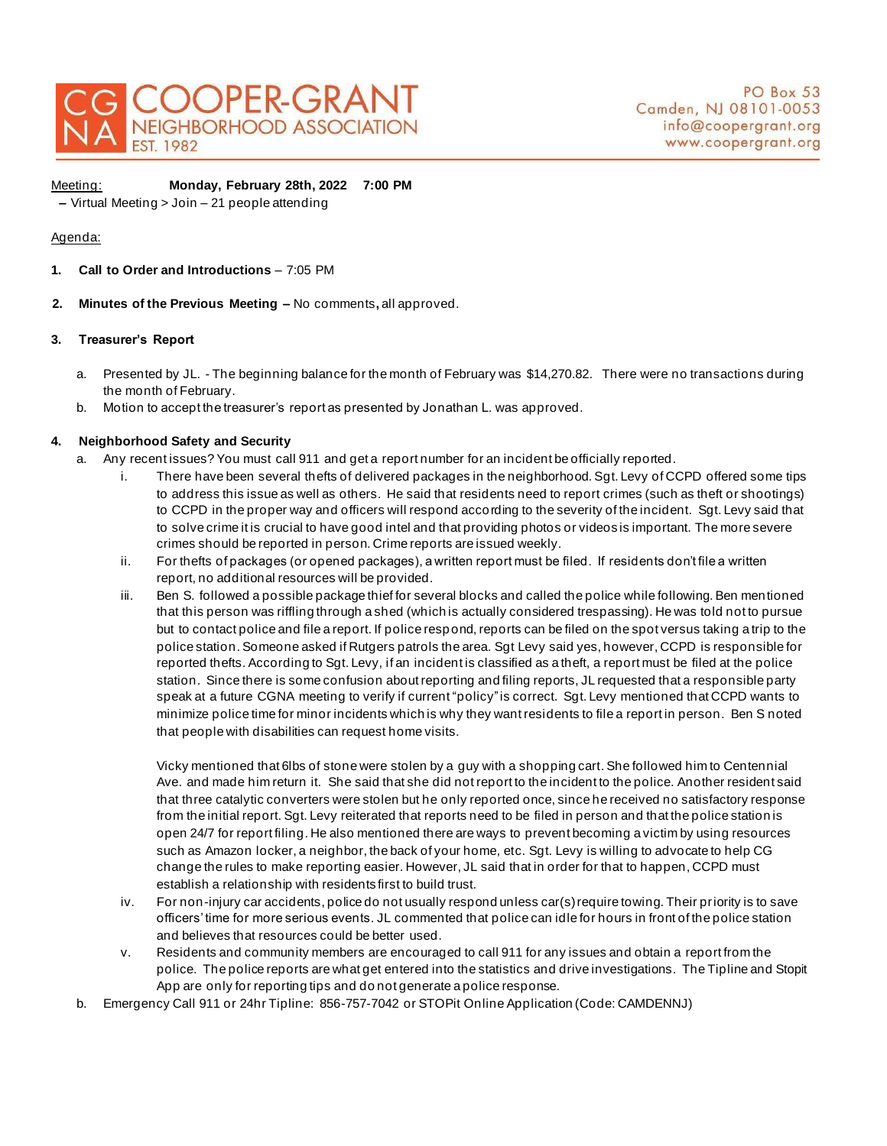

Ī

Meeting: **Monday, February 28th, 2022 7:00 PM** 

**–** Virtual Meeting > Join – 21 people attending

# Agenda:

- **1. Call to Order and Introductions**  7:05 PM
- **2. Minutes of the Previous Meeting –** No comments**,** all approved.

## **3. Treasurer's Report**

- a. Presented by JL. The beginning balance for the month of February was \$14,270.82. There were no transactions during the month of February.
- b. Motion to accept the treasurer's report as presented by Jonathan L. was approved.

# **4. Neighborhood Safety and Security**

- a. Any recent issues? You must call 911 and get a report number for an incident be officially reported.
	- i. There have been several thefts of delivered packages in the neighborhood. Sgt. Levy of CCPD offered some tips to address this issue as well as others. He said that residents need to report crimes (such as theft or shootings) to CCPD in the proper way and officers will respond according to the severity of the incident. Sgt. Levy said that to solve crime it is crucial to have good intel and that providing photos or videos is important. The more severe crimes should be reported in person. Crime reports are issued weekly.
	- ii. For thefts of packages (or opened packages), a written report must be filed. If residents don't file a written report, no additional resources will be provided.
	- iii. Ben S. followed a possible package thief for several blocks and called the police while following. Ben mentioned that this person was riffling through a shed (which is actually considered trespassing). He was told not to pursue but to contact police and file a report. If police respond, reports can be filed on the spot versus taking a trip to the police station. Someone asked if Rutgers patrols the area. Sgt Levy said yes, however, CCPD is responsible for reported thefts. According to Sgt. Levy, if an incident is classified as a theft, a report must be filed at the police station. Since there is some confusion about reporting and filing reports, JL requested that a responsible party speak at a future CGNA meeting to verify if current "policy"is correct. Sgt. Levy mentioned that CCPD wants to minimize police time for minor incidents which is why they want residents to file a report in person. Ben S noted that people with disabilities can request home visits.

Vicky mentioned that 6lbs of stone were stolen by a guy with a shopping cart. She followed him to Centennial Ave. and made him return it. She said that she did not report to the incident to the police. Another resident said that three catalytic converters were stolen but he only reported once, since he received no satisfactory response from the initial report. Sgt. Levy reiterated that reports need to be filed in person and that the police station is open 24/7 for report filing. He also mentioned there are ways to prevent becoming a victim by using resources such as Amazon locker, a neighbor, the back of your home, etc. Sgt. Levy is willing to advocate to help CG change the rules to make reporting easier. However, JL said that in order for that to happen, CCPD must establish a relationship with residents first to build trust.

- iv. For non-injury car accidents, police do not usually respond unless car(s) require towing. Their priority is to save officers' time for more serious events. JL commented that police can idle for hours in front of the police station and believes that resources could be better used.
- v. Residents and community members are encouraged to call 911 for any issues and obtain a report from the police. The police reports are what get entered into the statistics and drive investigations. The Tipline and Stopit App are only for reporting tips and do not generate a police response.
- b. Emergency Call 911 or 24hr Tipline: 856-757-7042 or STOPit Online Application (Code: CAMDENNJ)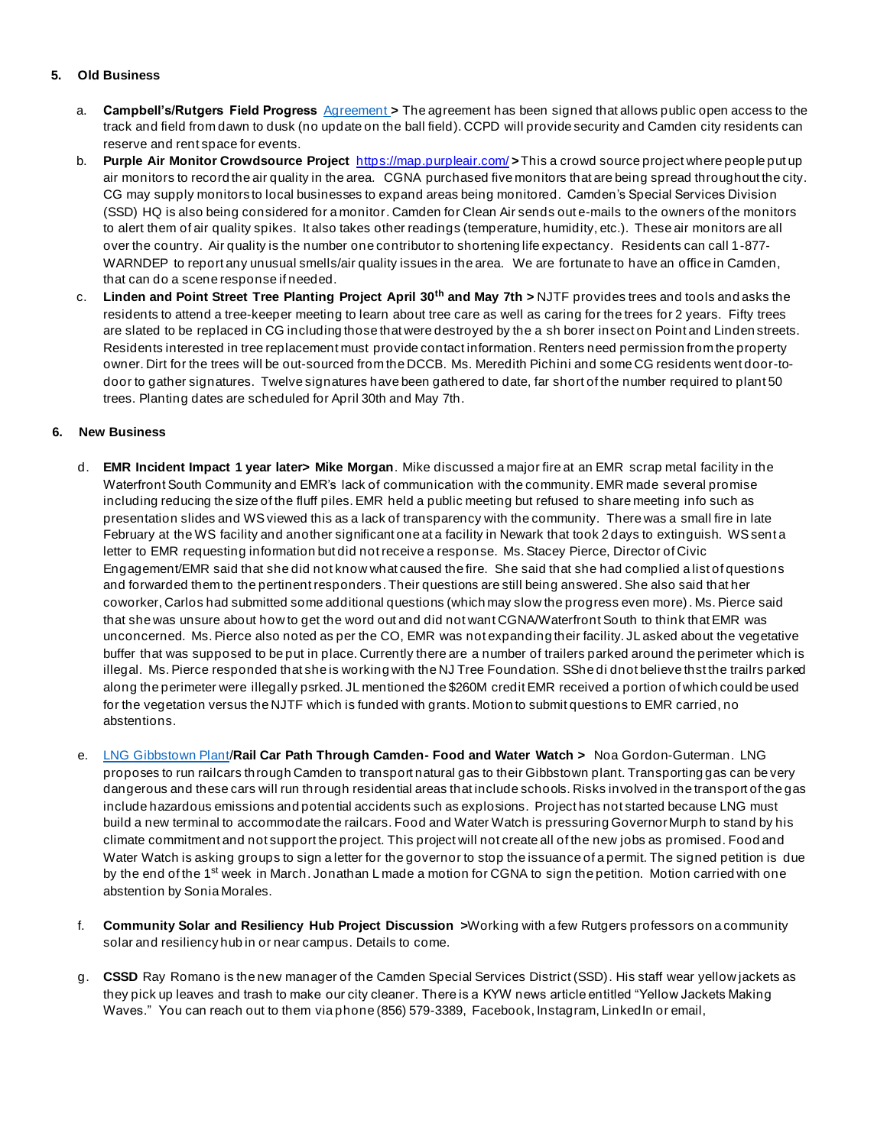## **5. Old Business**

- a. **Campbell's/Rutgers Field Progress** [Agreement](https://opramachine.com/request/28993/response/51674/attach/4/Use%20and%20Access%20Agreement%20Camden%20Athletic%20Fields%20FULLY%20EXECUTED.pdf?cookie_passthrough=1) **>** The agreement has been signed that allows public open access to the track and field from dawn to dusk (no update on the ball field). CCPD will provide security and Camden city residents can reserve and rent space for events.
- b. **Purple Air Monitor Crowdsource Project** <https://map.purpleair.com/> **>**This a crowd source project where people put up air monitors to record the air quality in the area. CGNA purchased five monitors that are being spread throughout the city. CG may supply monitors to local businesses to expand areas being monitored. Camden's Special Services Division (SSD) HQ is also being considered for a monitor. Camden for Clean Air sends out e-mails to the owners of the monitors to alert them of air quality spikes. It also takes other readings (temperature, humidity, etc.). These air monitors are all over the country. Air quality is the number one contributor to shortening life expectancy. Residents can call 1-877- WARNDEP to report any unusual smells/air quality issues in the area. We are fortunate to have an office in Camden, that can do a scene response if needed.
- c. **Linden and Point Street Tree Planting Project April 30th and May 7th >** NJTF provides trees and tools and asks the residents to attend a tree-keeper meeting to learn about tree care as well as caring for the trees for 2 years. Fifty trees are slated to be replaced in CG including those that were destroyed by the a sh borer insect on Point and Linden streets. Residents interested in tree replacement must provide contact information. Renters need permission from the property owner. Dirt for the trees will be out-sourced from the DCCB. Ms. Meredith Pichini and some CG residents went door-todoor to gather signatures. Twelve signatures have been gathered to date, far short of the number required to plant 50 trees. Planting dates are scheduled for April 30th and May 7th.

## **6. New Business**

- d. **EMR Incident Impact 1 year later> Mike Morgan**. Mike discussed a major fire at an EMR scrap metal facility in the Waterfront South Community and EMR's lack of communication with the community. EMR made several promise including reducing the size of the fluff piles. EMR held a public meeting but refused to share meeting info such as presentation slides and WS viewed this as a lack of transparency with the community. There was a small fire in late February at the WS facility and another significant one at a facility in Newark that took 2 days to extinguish. WS sent a letter to EMR requesting information but did not receive a response. Ms. Stacey Pierce, Director of Civic Engagement/EMR said that she did not know what caused the fire. She said that she had complied a list of questions and forwarded them to the pertinent responders. Their questions are still being answered. She also said that her coworker, Carlos had submitted some additional questions (which may slow the progress even more). Ms. Pierce said that she was unsure about how to get the word out and did not want CGNA/Waterfront South to think that EMR was unconcerned. Ms. Pierce also noted as per the CO, EMR was not expanding their facility. JL asked about the vegetative buffer that was supposed to be put in place. Currently there are a number of trailers parked around the perimeter which is illegal. Ms. Pierce responded that she is working with the NJ Tree Foundation. SShe di dnot believe thst the trailrs parked along the perimeter were illegally psrked. JL mentioned the \$260M credit EMR received a portion of which could be used for the vegetation versus the NJTF which is funded with grants. Motion to submit questions to EMR carried, no abstentions.
- e. [LNG Gibbstown Plant/](https://www.foodandwaterwatch.org/wp-content/uploads/2021/09/FS_2108_GibbstownNewFortress-WEB.pdf)**Rail Car Path Through Camden- Food and Water Watch >** Noa Gordon-Guterman. LNG proposes to run railcars through Camden to transport natural gas to their Gibbstown plant. Transporting gas can be very dangerous and these cars will run through residential areas that include schools. Risks involved in the transport of the gas include hazardous emissions and potential accidents such as explosions. Project has not started because LNG must build a new terminal to accommodate the railcars. Food and Water Watch is pressuring Governor Murph to stand by his climate commitment and not support the project. This project will not create all of the new jobs as promised. Food and Water Watch is asking groups to sign a letter for the governor to stop the issuance of a permit. The signed petition is due by the end of the 1<sup>st</sup> week in March. Jonathan L made a motion for CGNA to sign the petition. Motion carried with one abstention by Sonia Morales.
- f. **Community Solar and Resiliency Hub Project Discussion >**Working with a few Rutgers professors on a community solar and resiliency hub in or near campus. Details to come.
- g. **CSSD** Ray Romano is the new manager of the Camden Special Services District (SSD). His staff wear yellow jackets as they pick up leaves and trash to make our city cleaner. There is a KYW news article entitled "Yellow Jackets Making Waves." You can reach out to them via phone (856) 579-3389, Facebook, Instagram, LinkedIn or email,